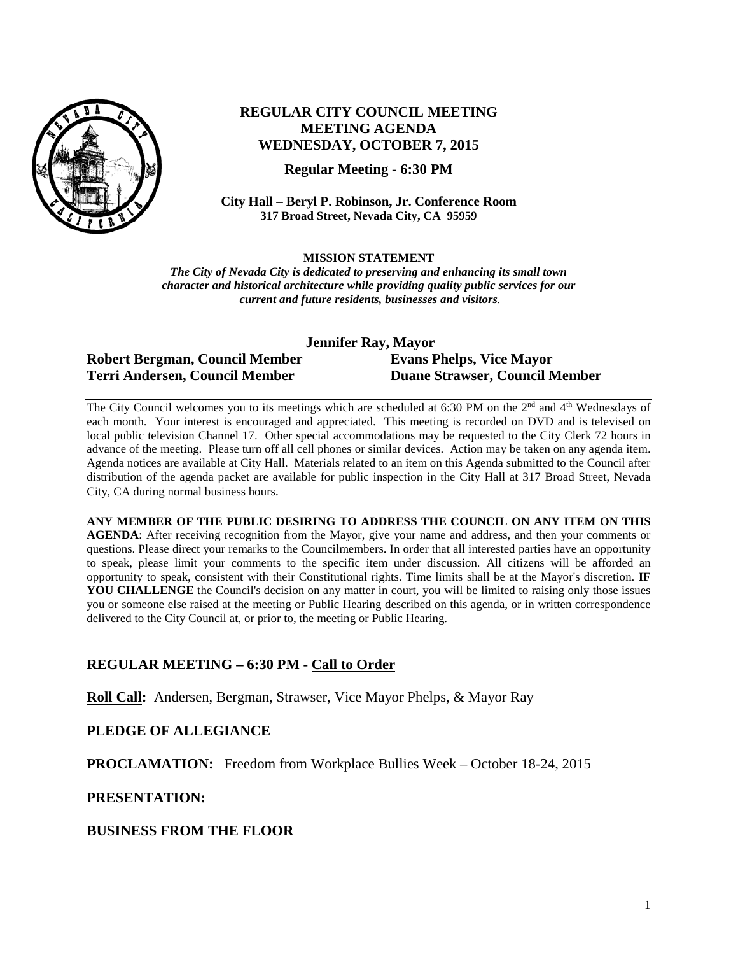

# **REGULAR CITY COUNCIL MEETING MEETING AGENDA WEDNESDAY, OCTOBER 7, 2015**

**Regular Meeting - 6:30 PM**

**City Hall – Beryl P. Robinson, Jr. Conference Room 317 Broad Street, Nevada City, CA 95959**

**MISSION STATEMENT**

*The City of Nevada City is dedicated to preserving and enhancing its small town character and historical architecture while providing quality public services for our current and future residents, businesses and visitors.*

| <b>Jennifer Ray, Mayor</b>     |                                       |
|--------------------------------|---------------------------------------|
| Robert Bergman, Council Member | <b>Evans Phelps, Vice Mayor</b>       |
| Terri Andersen, Council Member | <b>Duane Strawser, Council Member</b> |

The City Council welcomes you to its meetings which are scheduled at 6:30 PM on the 2<sup>nd</sup> and 4<sup>th</sup> Wednesdays of each month. Your interest is encouraged and appreciated. This meeting is recorded on DVD and is televised on local public television Channel 17. Other special accommodations may be requested to the City Clerk 72 hours in advance of the meeting. Please turn off all cell phones or similar devices. Action may be taken on any agenda item. Agenda notices are available at City Hall. Materials related to an item on this Agenda submitted to the Council after distribution of the agenda packet are available for public inspection in the City Hall at 317 Broad Street, Nevada City, CA during normal business hours.

**ANY MEMBER OF THE PUBLIC DESIRING TO ADDRESS THE COUNCIL ON ANY ITEM ON THIS AGENDA**: After receiving recognition from the Mayor, give your name and address, and then your comments or questions. Please direct your remarks to the Councilmembers. In order that all interested parties have an opportunity to speak, please limit your comments to the specific item under discussion. All citizens will be afforded an opportunity to speak, consistent with their Constitutional rights. Time limits shall be at the Mayor's discretion. **IF**  YOU CHALLENGE the Council's decision on any matter in court, you will be limited to raising only those issues you or someone else raised at the meeting or Public Hearing described on this agenda, or in written correspondence delivered to the City Council at, or prior to, the meeting or Public Hearing.

# **REGULAR MEETING – 6:30 PM - Call to Order**

**Roll Call:** Andersen, Bergman, Strawser, Vice Mayor Phelps, & Mayor Ray

# **PLEDGE OF ALLEGIANCE**

**PROCLAMATION:** Freedom from Workplace Bullies Week – October 18-24, 2015

#### **PRESENTATION:**

**BUSINESS FROM THE FLOOR**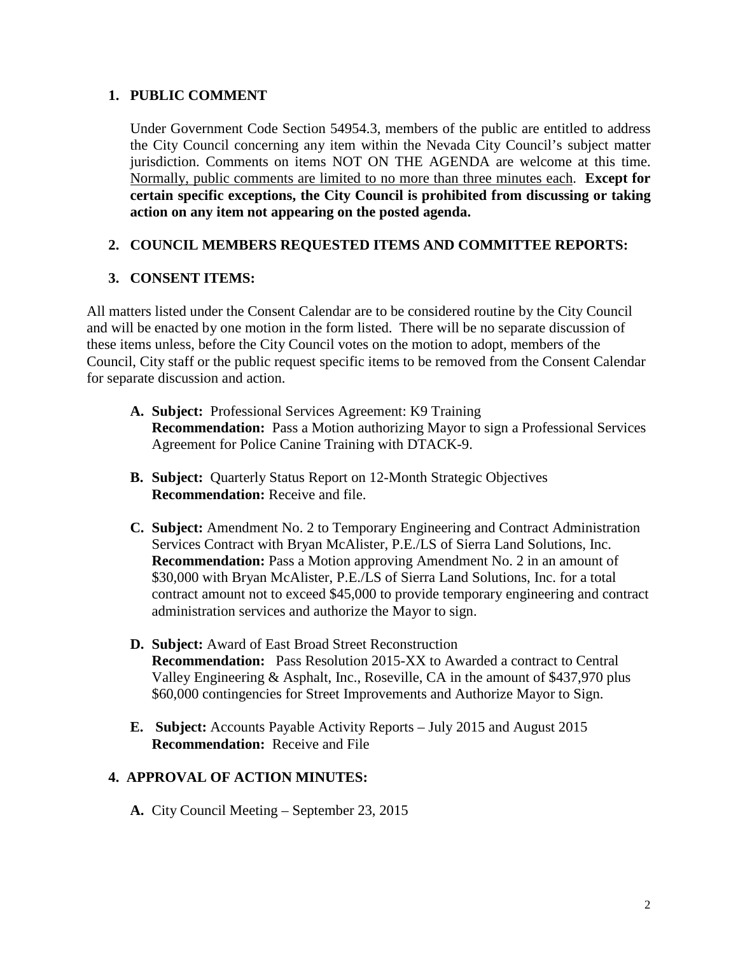# **1. PUBLIC COMMENT**

Under Government Code Section 54954.3, members of the public are entitled to address the City Council concerning any item within the Nevada City Council's subject matter jurisdiction. Comments on items NOT ON THE AGENDA are welcome at this time. Normally, public comments are limited to no more than three minutes each. **Except for certain specific exceptions, the City Council is prohibited from discussing or taking action on any item not appearing on the posted agenda.**

## **2. COUNCIL MEMBERS REQUESTED ITEMS AND COMMITTEE REPORTS:**

## **3. CONSENT ITEMS:**

All matters listed under the Consent Calendar are to be considered routine by the City Council and will be enacted by one motion in the form listed. There will be no separate discussion of these items unless, before the City Council votes on the motion to adopt, members of the Council, City staff or the public request specific items to be removed from the Consent Calendar for separate discussion and action.

- **A. Subject:** Professional Services Agreement: K9 Training **Recommendation:** Pass a Motion authorizing Mayor to sign a Professional Services Agreement for Police Canine Training with DTACK-9.
- **B. Subject:** Quarterly Status Report on 12-Month Strategic Objectives **Recommendation:** Receive and file.
- **C. Subject:** Amendment No. 2 to Temporary Engineering and Contract Administration Services Contract with Bryan McAlister, P.E./LS of Sierra Land Solutions, Inc. **Recommendation:** Pass a Motion approving Amendment No. 2 in an amount of \$30,000 with Bryan McAlister, P.E./LS of Sierra Land Solutions, Inc. for a total contract amount not to exceed \$45,000 to provide temporary engineering and contract administration services and authorize the Mayor to sign.
- **D. Subject:** Award of East Broad Street Reconstruction **Recommendation:** Pass Resolution 2015-XX to Awarded a contract to Central Valley Engineering & Asphalt, Inc., Roseville, CA in the amount of \$437,970 plus \$60,000 contingencies for Street Improvements and Authorize Mayor to Sign.
- **E. Subject:** Accounts Payable Activity Reports July 2015 and August 2015 **Recommendation:** Receive and File

#### **4. APPROVAL OF ACTION MINUTES:**

**A.** City Council Meeting – September 23, 2015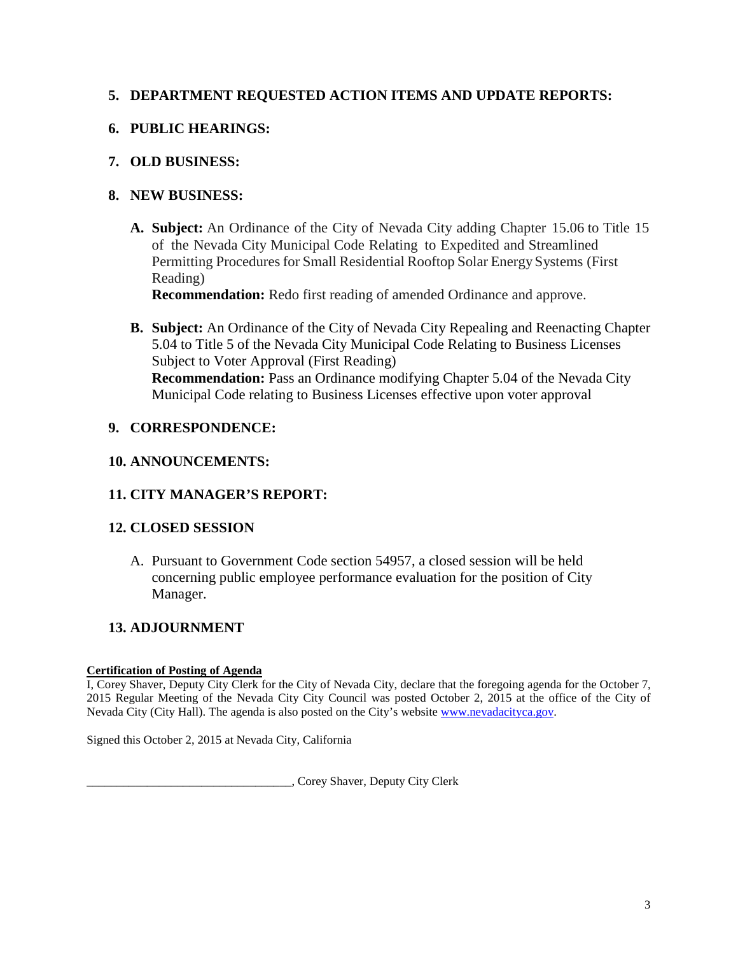# **5. DEPARTMENT REQUESTED ACTION ITEMS AND UPDATE REPORTS:**

# **6. PUBLIC HEARINGS:**

# **7. OLD BUSINESS:**

# **8. NEW BUSINESS:**

**A. Subject:** An Ordinance of the City of Nevada City adding Chapter 15.06 to Title 15 of the Nevada City Municipal Code Relating to Expedited and Streamlined Permitting Procedures for Small Residential Rooftop Solar Energy Systems (First) Reading)

**Recommendation:** Redo first reading of amended Ordinance and approve.

**B. Subject:** An Ordinance of the City of Nevada City Repealing and Reenacting Chapter 5.04 to Title 5 of the Nevada City Municipal Code Relating to Business Licenses Subject to Voter Approval (First Reading) **Recommendation:** Pass an Ordinance modifying Chapter 5.04 of the Nevada City Municipal Code relating to Business Licenses effective upon voter approval

# **9. CORRESPONDENCE:**

# **10. ANNOUNCEMENTS:**

# **11. CITY MANAGER'S REPORT:**

# **12. CLOSED SESSION**

A. Pursuant to Government Code section 54957, a closed session will be held concerning public employee performance evaluation for the position of City Manager.

# **13. ADJOURNMENT**

#### **Certification of Posting of Agenda**

I, Corey Shaver, Deputy City Clerk for the City of Nevada City, declare that the foregoing agenda for the October 7, 2015 Regular Meeting of the Nevada City City Council was posted October 2, 2015 at the office of the City of Nevada City (City Hall). The agenda is also posted on the City's website [www.nevadacityca.gov.](http://www.nevadacityca.gov/)

Signed this October 2, 2015 at Nevada City, California

\_\_\_\_\_\_\_\_\_\_\_\_\_\_\_\_\_\_\_\_\_\_\_\_\_\_\_\_\_\_\_\_\_\_, Corey Shaver, Deputy City Clerk